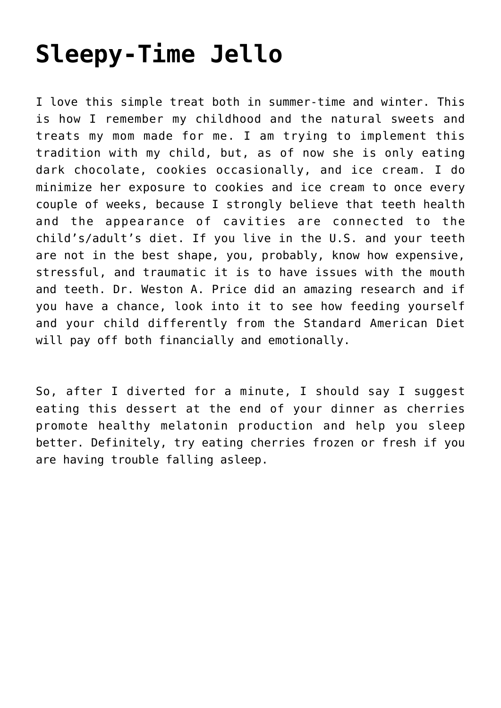## **[Sleepy-Time Jello](https://sproutshealth.com/sleepy-time-jello/)**

I love this simple treat both in summer-time and winter. This is how I remember my childhood and the natural sweets and treats my mom made for me. I am trying to implement this tradition with my child, but, as of now she is only eating dark chocolate, cookies occasionally, and ice cream. I do minimize her exposure to cookies and ice cream to once every couple of weeks, because I strongly believe that teeth health and the appearance of cavities are connected to the child's/adult's diet. If you live in the U.S. and your teeth are not in the best shape, you, probably, know how expensive, stressful, and traumatic it is to have issues with the mouth and teeth. Dr. Weston A. Price did an amazing research and if you have a chance, look into it to see how feeding yourself and your child differently from the Standard American Diet will pay off both financially and emotionally.

So, after I diverted for a minute, I should say I suggest eating this dessert at the end of your dinner as cherries promote healthy melatonin production and help you sleep better. Definitely, try eating cherries frozen or fresh if you are having trouble falling asleep.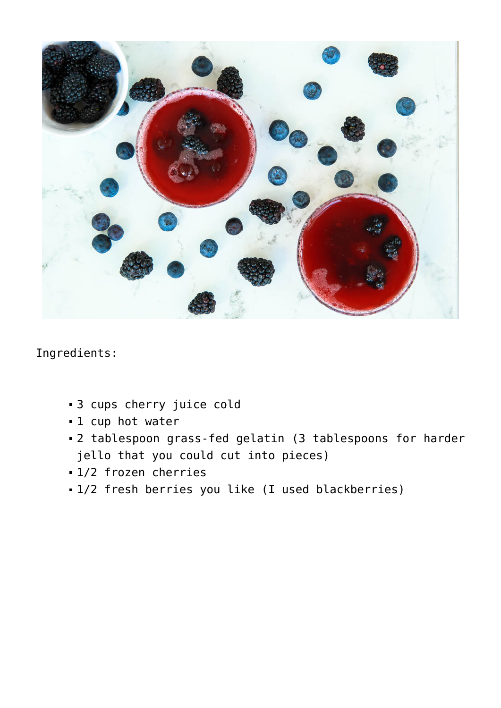

Ingredients:

- 3 cups cherry juice cold
- 1 cup hot water
- 2 tablespoon grass-fed gelatin (3 tablespoons for harder jello that you could cut into pieces)
- 1/2 frozen cherries
- 1/2 fresh berries you like (I used blackberries)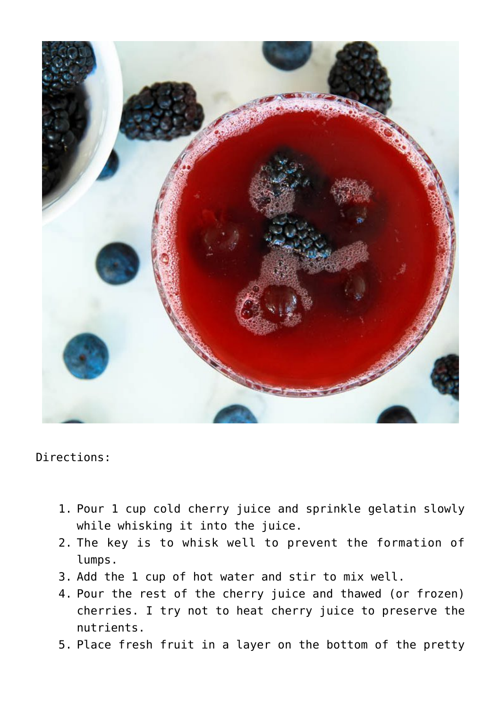

Directions:

- 1. Pour 1 cup cold cherry juice and sprinkle gelatin slowly while whisking it into the juice.
- 2. The key is to whisk well to prevent the formation of lumps.
- 3. Add the 1 cup of hot water and stir to mix well.
- 4. Pour the rest of the cherry juice and thawed (or frozen) cherries. I try not to heat cherry juice to preserve the nutrients.
- 5. Place fresh fruit in a layer on the bottom of the pretty